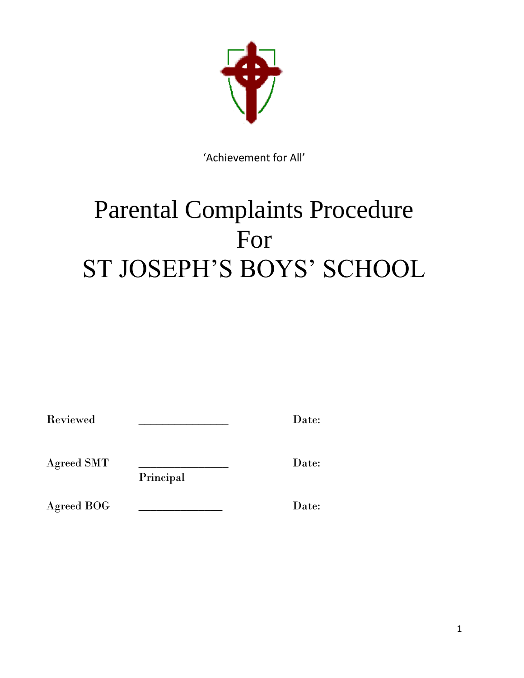

'Achievement for All'

# Parental Complaints Procedure For ST JOSEPH'S BOYS' SCHOOL

| Reviewed |  | Date: |
|----------|--|-------|
|----------|--|-------|

Agreed SMT \_\_\_\_\_\_\_\_\_\_\_\_\_\_\_ Date:

Principal

Agreed BOG \_\_\_\_\_\_\_\_\_\_\_\_\_\_ Date: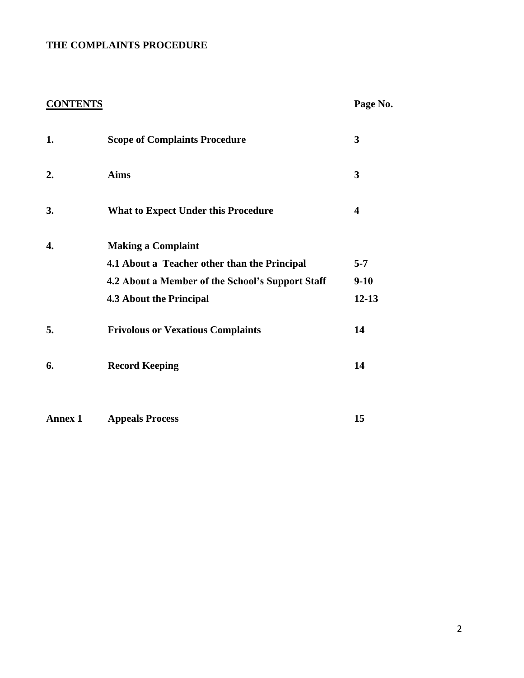# **THE COMPLAINTS PROCEDURE**

# **CONTENTS Page No.**

| 1.             | <b>Scope of Complaints Procedure</b>             | 3         |
|----------------|--------------------------------------------------|-----------|
| 2.             | <b>Aims</b>                                      | 3         |
| 3.             | <b>What to Expect Under this Procedure</b>       | 4         |
| 4.             | <b>Making a Complaint</b>                        |           |
|                | 4.1 About a Teacher other than the Principal     | $5 - 7$   |
|                | 4.2 About a Member of the School's Support Staff | $9-10$    |
|                | <b>4.3 About the Principal</b>                   | $12 - 13$ |
| 5.             | <b>Frivolous or Vexatious Complaints</b>         | 14        |
| 6.             | <b>Record Keeping</b>                            | 14        |
| <b>Annex 1</b> | <b>Appeals Process</b>                           | 15        |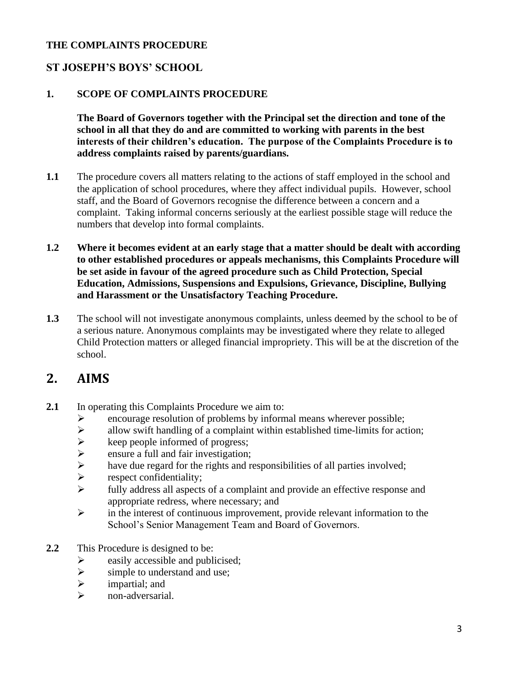#### **THE COMPLAINTS PROCEDURE**

# **ST JOSEPH'S BOYS' SCHOOL**

#### **1. SCOPE OF COMPLAINTS PROCEDURE**

**The Board of Governors together with the Principal set the direction and tone of the school in all that they do and are committed to working with parents in the best interests of their children's education. The purpose of the Complaints Procedure is to address complaints raised by parents/guardians.** 

- **1.1** The procedure covers all matters relating to the actions of staff employed in the school and the application of school procedures, where they affect individual pupils. However, school staff, and the Board of Governors recognise the difference between a concern and a complaint. Taking informal concerns seriously at the earliest possible stage will reduce the numbers that develop into formal complaints.
- **1.2 Where it becomes evident at an early stage that a matter should be dealt with according to other established procedures or appeals mechanisms, this Complaints Procedure will be set aside in favour of the agreed procedure such as Child Protection, Special Education, Admissions, Suspensions and Expulsions, Grievance, Discipline, Bullying and Harassment or the Unsatisfactory Teaching Procedure.**
- **1.3** The school will not investigate anonymous complaints, unless deemed by the school to be of a serious nature. Anonymous complaints may be investigated where they relate to alleged Child Protection matters or alleged financial impropriety. This will be at the discretion of the school.

# **2. AIMS**

- **2.1** In operating this Complaints Procedure we aim to:
	- ➢ encourage resolution of problems by informal means wherever possible;
	- $\triangleright$  allow swift handling of a complaint within established time-limits for action;
	- $\triangleright$  keep people informed of progress;<br> $\triangleright$  ensure a full and fair investigation;
	- ensure a full and fair investigation;
	- $\triangleright$  have due regard for the rights and responsibilities of all parties involved;<br>  $\triangleright$
	- respect confidentiality;
	- ➢ fully address all aspects of a complaint and provide an effective response and appropriate redress, where necessary; and
	- ➢ in the interest of continuous improvement, provide relevant information to the School's Senior Management Team and Board of Governors.
- **2.2** This Procedure is designed to be:
	- $\triangleright$  easily accessible and publicised;<br> $\triangleright$  simple to understand and use;
	- simple to understand and use;
	- $\triangleright$  impartial; and
	- ➢ non-adversarial.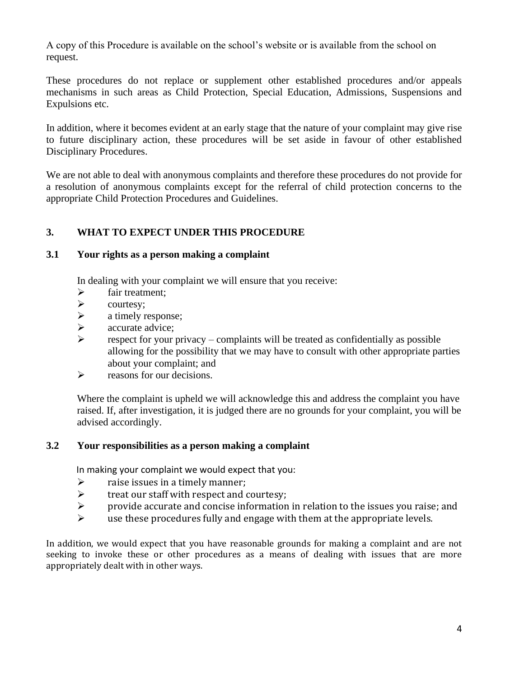A copy of this Procedure is available on the school's website or is available from the school on request.

These procedures do not replace or supplement other established procedures and/or appeals mechanisms in such areas as Child Protection, Special Education, Admissions, Suspensions and Expulsions etc.

In addition, where it becomes evident at an early stage that the nature of your complaint may give rise to future disciplinary action, these procedures will be set aside in favour of other established Disciplinary Procedures.

We are not able to deal with anonymous complaints and therefore these procedures do not provide for a resolution of anonymous complaints except for the referral of child protection concerns to the appropriate Child Protection Procedures and Guidelines.

#### **3. WHAT TO EXPECT UNDER THIS PROCEDURE**

#### **3.1 Your rights as a person making a complaint**

In dealing with your complaint we will ensure that you receive:

- ➢ fair treatment;
- ➢ courtesy;
- $\triangleright$  a timely response;
- ➢ accurate advice;
- $\triangleright$  respect for your privacy complaints will be treated as confidentially as possible allowing for the possibility that we may have to consult with other appropriate parties about your complaint; and
- $\triangleright$  reasons for our decisions.

Where the complaint is upheld we will acknowledge this and address the complaint you have raised. If, after investigation, it is judged there are no grounds for your complaint, you will be advised accordingly.

#### **3.2 Your responsibilities as a person making a complaint**

In making your complaint we would expect that you:

- $\triangleright$  raise issues in a timely manner;
- $\triangleright$  treat our staff with respect and courtesy;
- ➢ provide accurate and concise information in relation to the issues you raise; and
- $\triangleright$  use these procedures fully and engage with them at the appropriate levels.

In addition, we would expect that you have reasonable grounds for making a complaint and are not seeking to invoke these or other procedures as a means of dealing with issues that are more appropriately dealt with in other ways.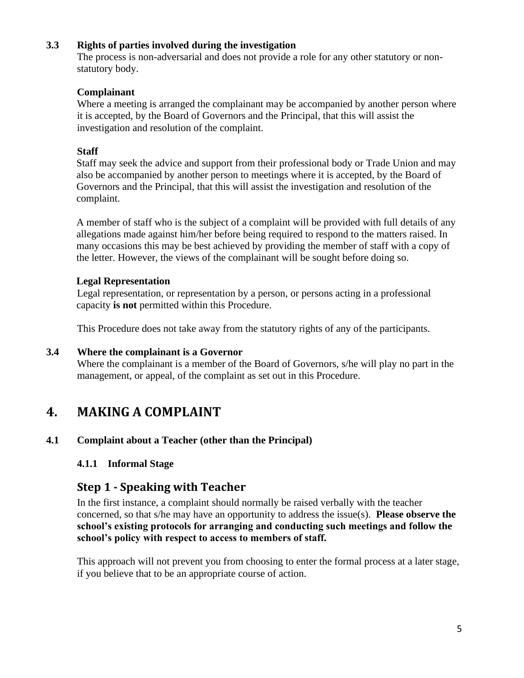#### **3.3 Rights of parties involved during the investigation**

The process is non-adversarial and does not provide a role for any other statutory or nonstatutory body.

#### **Complainant**

Where a meeting is arranged the complainant may be accompanied by another person where it is accepted, by the Board of Governors and the Principal, that this will assist the investigation and resolution of the complaint.

#### **Staff**

Staff may seek the advice and support from their professional body or Trade Union and may also be accompanied by another person to meetings where it is accepted, by the Board of Governors and the Principal, that this will assist the investigation and resolution of the complaint.

A member of staff who is the subject of a complaint will be provided with full details of any allegations made against him/her before being required to respond to the matters raised. In many occasions this may be best achieved by providing the member of staff with a copy of the letter. However, the views of the complainant will be sought before doing so.

#### **Legal Representation**

Legal representation, or representation by a person, or persons acting in a professional capacity **is not** permitted within this Procedure.

This Procedure does not take away from the statutory rights of any of the participants.

#### **3.4 Where the complainant is a Governor**

Where the complainant is a member of the Board of Governors, s/he will play no part in the management, or appeal, of the complaint as set out in this Procedure.

# **4. MAKING A COMPLAINT**

# **4.1 Complaint about a Teacher (other than the Principal)**

#### **4.1.1 Informal Stage**

# **Step 1 - Speaking with Teacher**

In the first instance, a complaint should normally be raised verbally with the teacher concerned, so that s/he may have an opportunity to address the issue(s). **Please observe the school's existing protocols for arranging and conducting such meetings and follow the school's policy with respect to access to members of staff.** 

This approach will not prevent you from choosing to enter the formal process at a later stage, if you believe that to be an appropriate course of action.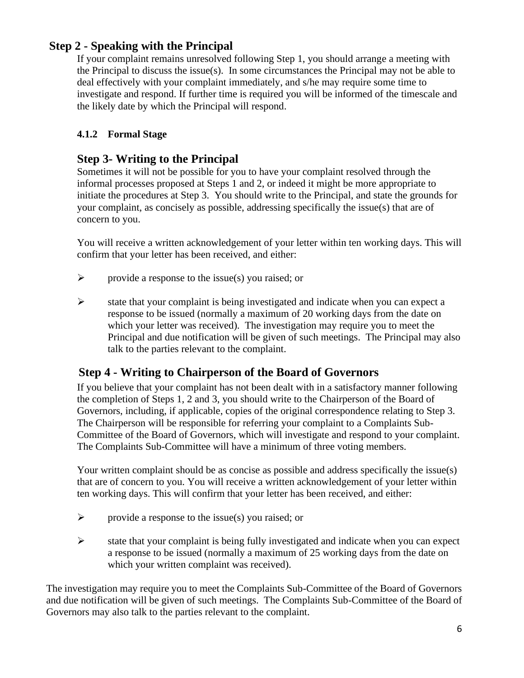# **Step 2 - Speaking with the Principal**

If your complaint remains unresolved following Step 1, you should arrange a meeting with the Principal to discuss the issue(s). In some circumstances the Principal may not be able to deal effectively with your complaint immediately, and s/he may require some time to investigate and respond. If further time is required you will be informed of the timescale and the likely date by which the Principal will respond.

## **4.1.2 Formal Stage**

# **Step 3- Writing to the Principal**

Sometimes it will not be possible for you to have your complaint resolved through the informal processes proposed at Steps 1 and 2, or indeed it might be more appropriate to initiate the procedures at Step 3. You should write to the Principal, and state the grounds for your complaint, as concisely as possible, addressing specifically the issue(s) that are of concern to you.

You will receive a written acknowledgement of your letter within ten working days. This will confirm that your letter has been received, and either:

- $\triangleright$  provide a response to the issue(s) you raised; or
- ➢ state that your complaint is being investigated and indicate when you can expect a response to be issued (normally a maximum of 20 working days from the date on which your letter was received). The investigation may require you to meet the Principal and due notification will be given of such meetings. The Principal may also talk to the parties relevant to the complaint.

# **Step 4 - Writing to Chairperson of the Board of Governors**

If you believe that your complaint has not been dealt with in a satisfactory manner following the completion of Steps 1, 2 and 3, you should write to the Chairperson of the Board of Governors, including, if applicable, copies of the original correspondence relating to Step 3. The Chairperson will be responsible for referring your complaint to a Complaints Sub-Committee of the Board of Governors, which will investigate and respond to your complaint. The Complaints Sub-Committee will have a minimum of three voting members.

Your written complaint should be as concise as possible and address specifically the issue(s) that are of concern to you. You will receive a written acknowledgement of your letter within ten working days. This will confirm that your letter has been received, and either:

- $\triangleright$  provide a response to the issue(s) you raised; or
- ➢ state that your complaint is being fully investigated and indicate when you can expect a response to be issued (normally a maximum of 25 working days from the date on which your written complaint was received).

The investigation may require you to meet the Complaints Sub-Committee of the Board of Governors and due notification will be given of such meetings. The Complaints Sub-Committee of the Board of Governors may also talk to the parties relevant to the complaint.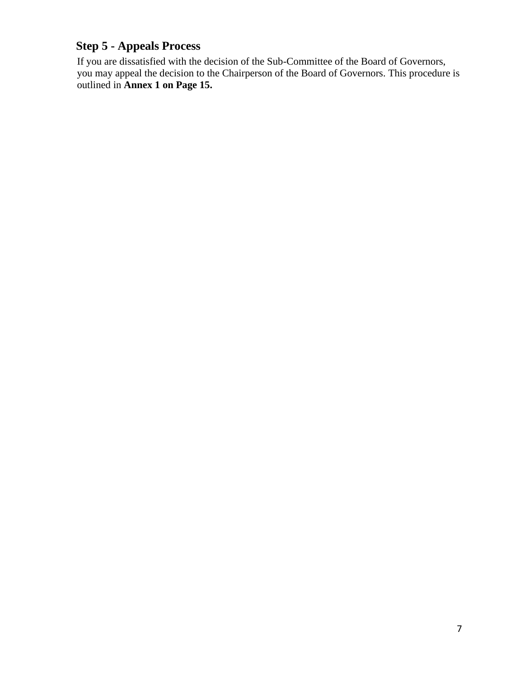# **Step 5 - Appeals Process**

If you are dissatisfied with the decision of the Sub-Committee of the Board of Governors, you may appeal the decision to the Chairperson of the Board of Governors. This procedure is outlined in **Annex 1 on Page 15.**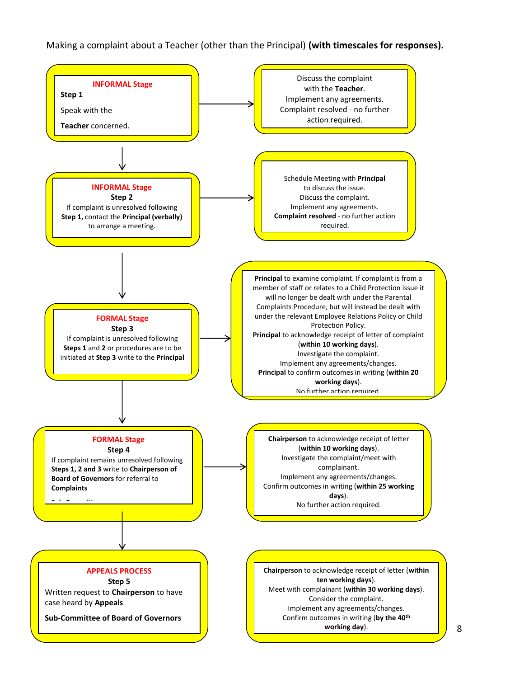#### Making a complaint about a Teacher (other than the Principal) **(with timescales for responses).**

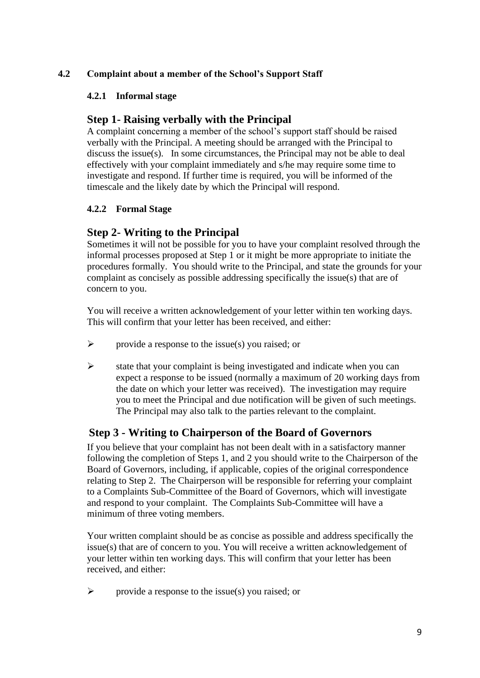#### **4.2 Complaint about a member of the School's Support Staff**

#### **4.2.1 Informal stage**

### **Step 1- Raising verbally with the Principal**

A complaint concerning a member of the school's support staff should be raised verbally with the Principal. A meeting should be arranged with the Principal to discuss the issue(s). In some circumstances, the Principal may not be able to deal effectively with your complaint immediately and s/he may require some time to investigate and respond. If further time is required, you will be informed of the timescale and the likely date by which the Principal will respond.

#### **4.2.2 Formal Stage**

# **Step 2- Writing to the Principal**

Sometimes it will not be possible for you to have your complaint resolved through the informal processes proposed at Step 1 or it might be more appropriate to initiate the procedures formally. You should write to the Principal, and state the grounds for your complaint as concisely as possible addressing specifically the issue(s) that are of concern to you.

You will receive a written acknowledgement of your letter within ten working days. This will confirm that your letter has been received, and either:

- $\triangleright$  provide a response to the issue(s) you raised; or
- $\triangleright$  state that your complaint is being investigated and indicate when you can expect a response to be issued (normally a maximum of 20 working days from the date on which your letter was received). The investigation may require you to meet the Principal and due notification will be given of such meetings. The Principal may also talk to the parties relevant to the complaint.

# **Step 3 - Writing to Chairperson of the Board of Governors**

If you believe that your complaint has not been dealt with in a satisfactory manner following the completion of Steps 1, and 2 you should write to the Chairperson of the Board of Governors, including, if applicable, copies of the original correspondence relating to Step 2. The Chairperson will be responsible for referring your complaint to a Complaints Sub-Committee of the Board of Governors, which will investigate and respond to your complaint. The Complaints Sub-Committee will have a minimum of three voting members.

Your written complaint should be as concise as possible and address specifically the issue(s) that are of concern to you. You will receive a written acknowledgement of your letter within ten working days. This will confirm that your letter has been received, and either:

 $\triangleright$  provide a response to the issue(s) you raised; or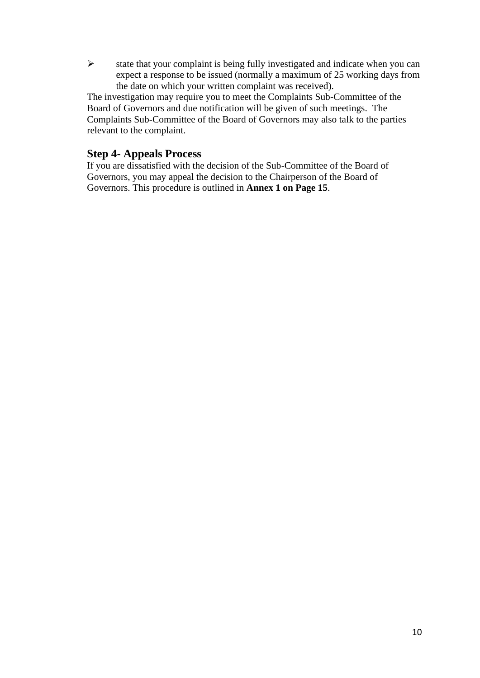➢ state that your complaint is being fully investigated and indicate when you can expect a response to be issued (normally a maximum of 25 working days from the date on which your written complaint was received).

The investigation may require you to meet the Complaints Sub-Committee of the Board of Governors and due notification will be given of such meetings. The Complaints Sub-Committee of the Board of Governors may also talk to the parties relevant to the complaint.

#### **Step 4- Appeals Process**

If you are dissatisfied with the decision of the Sub-Committee of the Board of Governors, you may appeal the decision to the Chairperson of the Board of Governors. This procedure is outlined in **Annex 1 on Page 15**.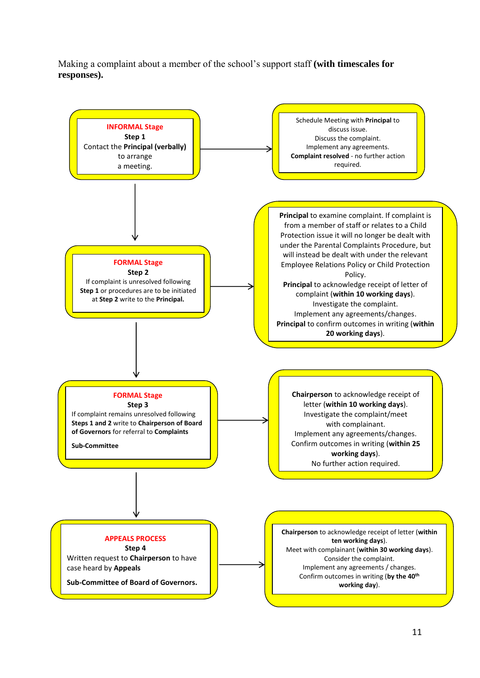Making a complaint about a member of the school's support staff **(with timescales for responses).**

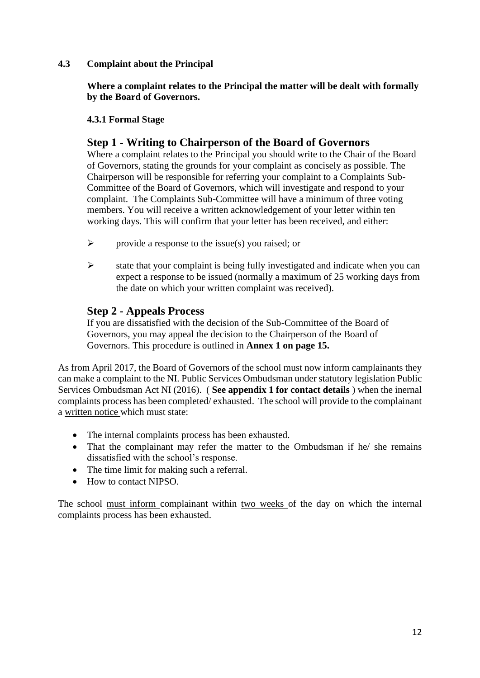#### **4.3 Complaint about the Principal**

**Where a complaint relates to the Principal the matter will be dealt with formally by the Board of Governors.**

#### **4.3.1 Formal Stage**

# **Step 1 - Writing to Chairperson of the Board of Governors**

Where a complaint relates to the Principal you should write to the Chair of the Board of Governors, stating the grounds for your complaint as concisely as possible. The Chairperson will be responsible for referring your complaint to a Complaints Sub-Committee of the Board of Governors, which will investigate and respond to your complaint. The Complaints Sub-Committee will have a minimum of three voting members. You will receive a written acknowledgement of your letter within ten working days. This will confirm that your letter has been received, and either:

- $\triangleright$  provide a response to the issue(s) you raised; or
- $\triangleright$  state that your complaint is being fully investigated and indicate when you can expect a response to be issued (normally a maximum of 25 working days from the date on which your written complaint was received).

#### **Step 2 - Appeals Process**

If you are dissatisfied with the decision of the Sub-Committee of the Board of Governors, you may appeal the decision to the Chairperson of the Board of Governors. This procedure is outlined in **Annex 1 on page 15.**

As from April 2017, the Board of Governors of the school must now inform camplainants they can make a complaint to the NI. Public Services Ombudsman under statutory legislation Public Services Ombudsman Act NI (2016). ( **See appendix 1 for contact details** ) when the inernal complaints process has been completed/ exhausted. The school will provide to the complainant a written notice which must state:

- The internal complaints process has been exhausted.
- That the complainant may refer the matter to the Ombudsman if he/ she remains dissatisfied with the school's response.
- The time limit for making such a referral.
- How to contact NIPSO.

The school must inform complainant within two weeks of the day on which the internal complaints process has been exhausted.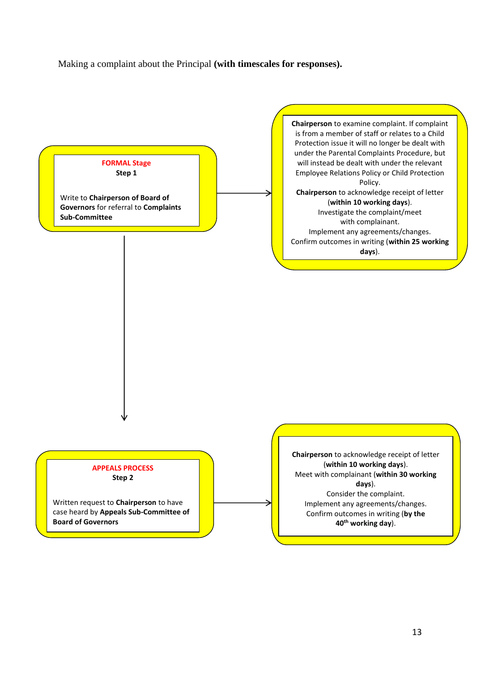Making a complaint about the Principal **(with timescales for responses).**

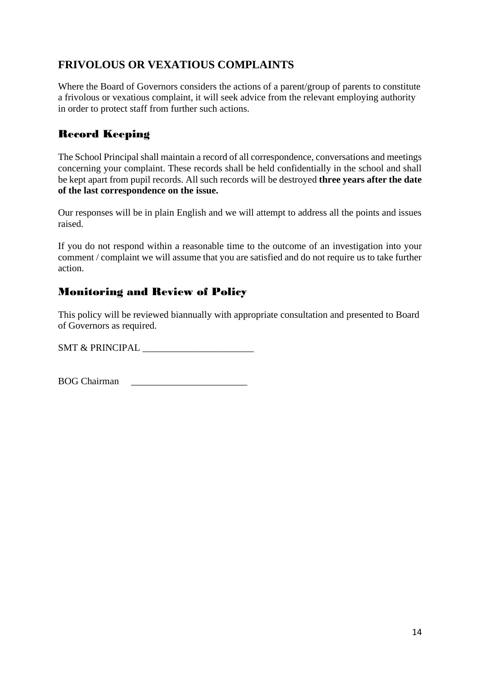# **FRIVOLOUS OR VEXATIOUS COMPLAINTS**

Where the Board of Governors considers the actions of a parent/group of parents to constitute a frivolous or vexatious complaint, it will seek advice from the relevant employing authority in order to protect staff from further such actions.

# Record Keeping

The School Principal shall maintain a record of all correspondence, conversations and meetings concerning your complaint. These records shall be held confidentially in the school and shall be kept apart from pupil records. All such records will be destroyed **three years after the date of the last correspondence on the issue.**

Our responses will be in plain English and we will attempt to address all the points and issues raised.

If you do not respond within a reasonable time to the outcome of an investigation into your comment / complaint we will assume that you are satisfied and do not require us to take further action.

# Monitoring and Review of Policy

This policy will be reviewed biannually with appropriate consultation and presented to Board of Governors as required.

SMT & PRINCIPAL \_\_\_\_\_\_\_\_\_\_\_\_\_\_\_\_\_\_\_\_\_\_\_

BOG Chairman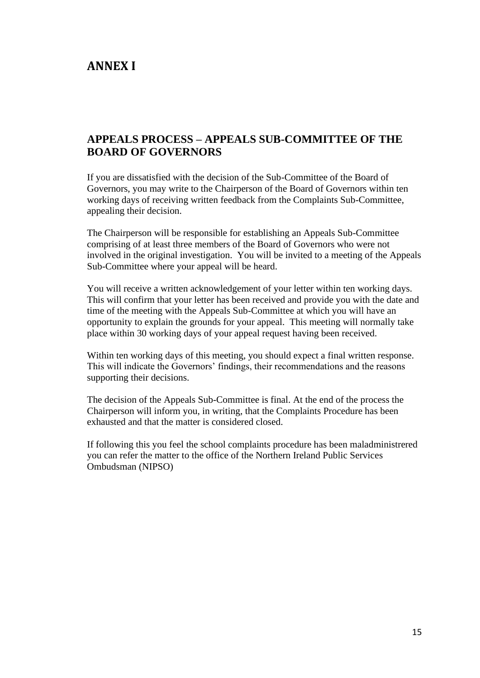# **ANNEX I**

# **APPEALS PROCESS – APPEALS SUB-COMMITTEE OF THE BOARD OF GOVERNORS**

If you are dissatisfied with the decision of the Sub-Committee of the Board of Governors, you may write to the Chairperson of the Board of Governors within ten working days of receiving written feedback from the Complaints Sub-Committee, appealing their decision.

The Chairperson will be responsible for establishing an Appeals Sub-Committee comprising of at least three members of the Board of Governors who were not involved in the original investigation. You will be invited to a meeting of the Appeals Sub-Committee where your appeal will be heard.

You will receive a written acknowledgement of your letter within ten working days. This will confirm that your letter has been received and provide you with the date and time of the meeting with the Appeals Sub-Committee at which you will have an opportunity to explain the grounds for your appeal. This meeting will normally take place within 30 working days of your appeal request having been received.

Within ten working days of this meeting, you should expect a final written response. This will indicate the Governors' findings, their recommendations and the reasons supporting their decisions.

The decision of the Appeals Sub-Committee is final. At the end of the process the Chairperson will inform you, in writing, that the Complaints Procedure has been exhausted and that the matter is considered closed.

If following this you feel the school complaints procedure has been maladministrered you can refer the matter to the office of the Northern Ireland Public Services Ombudsman (NIPSO)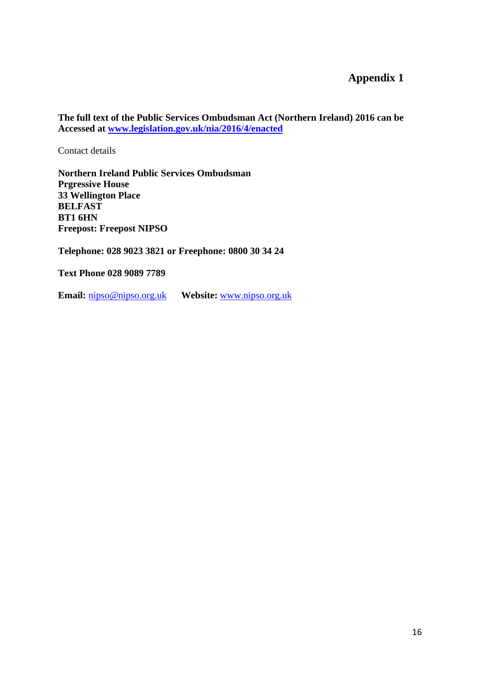# **Appendix 1**

**The full text of the Public Services Ombudsman Act (Northern Ireland) 2016 can be Accessed at [www.legislation.gov.uk/nia/2016/4/enacted](http://www.legislation.gov.uk/nia/2016/4/enacted)**

Contact details

**Northern Ireland Public Services Ombudsman Prgressive House 33 Wellington Place BELFAST BT1 6HN Freepost: Freepost NIPSO**

**Telephone: 028 9023 3821 or Freephone: 0800 30 34 24**

**Text Phone 028 9089 7789**

**Email:** [nipso@nipso.org.uk](mailto:nipso@nipso.org.uk) **Website:** [www.nipso.org.uk](http://www.nipso.org.uk/)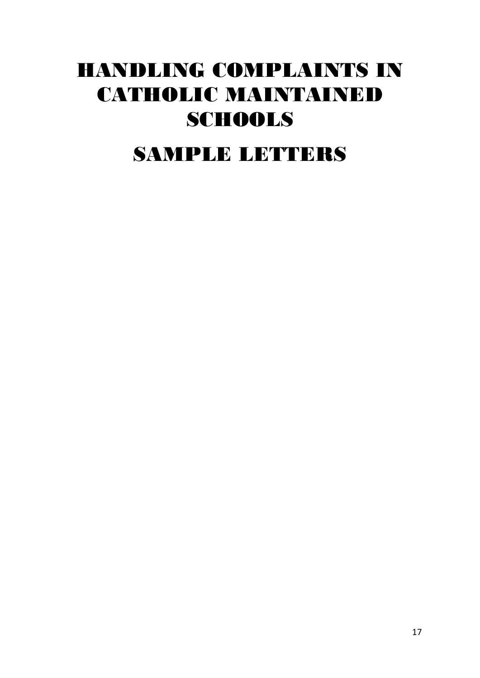# HANDLING COMPLAINTS IN CATHOLIC MAINTAINED **SCHOOLS**

SAMPLE LETTERS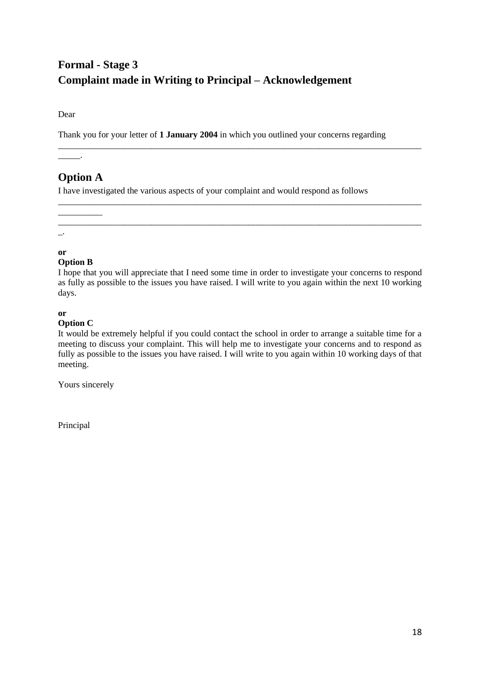# **Formal - Stage 3 Complaint made in Writing to Principal – Acknowledgement**

Dear

Thank you for your letter of **1 January 2004** in which you outlined your concerns regarding

\_\_\_\_\_\_\_\_\_\_\_\_\_\_\_\_\_\_\_\_\_\_\_\_\_\_\_\_\_\_\_\_\_\_\_\_\_\_\_\_\_\_\_\_\_\_\_\_\_\_\_\_\_\_\_\_\_\_\_\_\_\_\_\_\_\_\_\_\_\_\_\_\_\_\_\_\_\_\_\_\_\_

\_\_\_\_\_\_\_\_\_\_\_\_\_\_\_\_\_\_\_\_\_\_\_\_\_\_\_\_\_\_\_\_\_\_\_\_\_\_\_\_\_\_\_\_\_\_\_\_\_\_\_\_\_\_\_\_\_\_\_\_\_\_\_\_\_\_\_\_\_\_\_\_\_\_\_\_\_\_\_\_\_\_

# **Option A**

\_\_\_\_\_\_\_\_\_\_

\_\_\_\_\_.

I have investigated the various aspects of your complaint and would respond as follows

\_\_\_\_\_\_\_\_\_\_\_\_\_\_\_\_\_\_\_\_\_\_\_\_\_\_\_\_\_\_\_\_\_\_\_\_\_\_\_\_\_\_\_\_\_\_\_\_\_\_\_\_\_\_\_\_\_\_\_\_\_\_\_\_\_\_\_\_\_\_\_\_\_\_\_\_\_\_\_\_\_\_  $\overline{\phantom{a}}$ .

#### **or**

#### **Option B**

I hope that you will appreciate that I need some time in order to investigate your concerns to respond as fully as possible to the issues you have raised. I will write to you again within the next 10 working days.

#### **or**

#### **Option C**

It would be extremely helpful if you could contact the school in order to arrange a suitable time for a meeting to discuss your complaint. This will help me to investigate your concerns and to respond as fully as possible to the issues you have raised. I will write to you again within 10 working days of that meeting.

Yours sincerely

Principal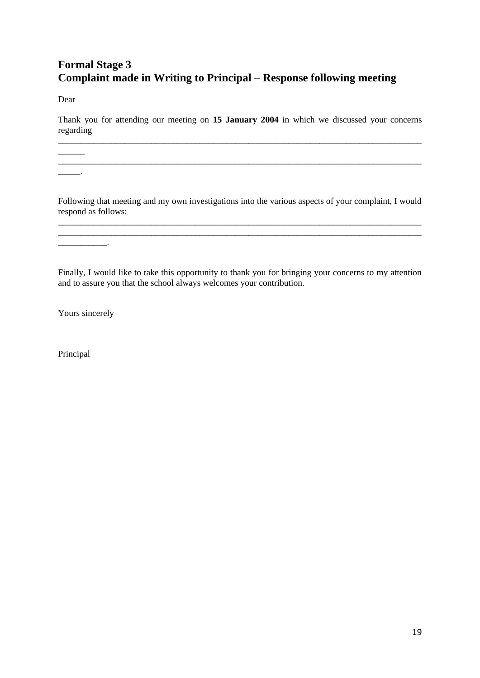# **Formal Stage 3 Complaint made in Writing to Principal – Response following meeting**

Dear

Thank you for attending our meeting on **15 January 2004** in which we discussed your concerns regarding \_\_\_\_\_\_\_\_\_\_\_\_\_\_\_\_\_\_\_\_\_\_\_\_\_\_\_\_\_\_\_\_\_\_\_\_\_\_\_\_\_\_\_\_\_\_\_\_\_\_\_\_\_\_\_\_\_\_\_\_\_\_\_\_\_\_\_\_\_\_\_\_\_\_\_\_\_\_\_\_\_\_

\_\_\_\_\_\_\_\_\_\_\_\_\_\_\_\_\_\_\_\_\_\_\_\_\_\_\_\_\_\_\_\_\_\_\_\_\_\_\_\_\_\_\_\_\_\_\_\_\_\_\_\_\_\_\_\_\_\_\_\_\_\_\_\_\_\_\_\_\_\_\_\_\_\_\_\_\_\_\_\_\_\_

 $\overline{\phantom{a}}$ .

\_\_\_\_\_\_\_\_\_\_\_.

 $\overline{\phantom{a}}$ 

Following that meeting and my own investigations into the various aspects of your complaint, I would respond as follows: \_\_\_\_\_\_\_\_\_\_\_\_\_\_\_\_\_\_\_\_\_\_\_\_\_\_\_\_\_\_\_\_\_\_\_\_\_\_\_\_\_\_\_\_\_\_\_\_\_\_\_\_\_\_\_\_\_\_\_\_\_\_\_\_\_\_\_\_\_\_\_\_\_\_\_\_\_\_\_\_\_\_

\_\_\_\_\_\_\_\_\_\_\_\_\_\_\_\_\_\_\_\_\_\_\_\_\_\_\_\_\_\_\_\_\_\_\_\_\_\_\_\_\_\_\_\_\_\_\_\_\_\_\_\_\_\_\_\_\_\_\_\_\_\_\_\_\_\_\_\_\_\_\_\_\_\_\_\_\_\_\_\_\_\_

Finally, I would like to take this opportunity to thank you for bringing your concerns to my attention and to assure you that the school always welcomes your contribution.

Yours sincerely

Principal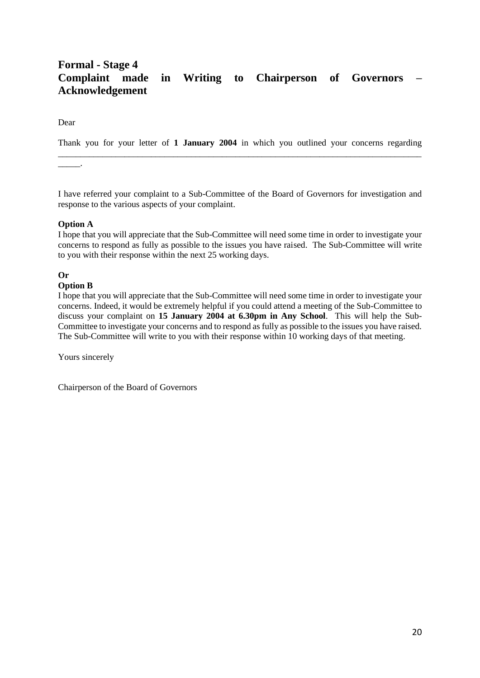### **Formal - Stage 4 Complaint made in Writing to Chairperson of Governors – Acknowledgement**

Dear

Thank you for your letter of **1 January 2004** in which you outlined your concerns regarding \_\_\_\_\_\_\_\_\_\_\_\_\_\_\_\_\_\_\_\_\_\_\_\_\_\_\_\_\_\_\_\_\_\_\_\_\_\_\_\_\_\_\_\_\_\_\_\_\_\_\_\_\_\_\_\_\_\_\_\_\_\_\_\_\_\_\_\_\_\_\_\_\_\_\_\_\_\_\_\_\_\_

\_\_\_\_\_.

I have referred your complaint to a Sub-Committee of the Board of Governors for investigation and response to the various aspects of your complaint.

#### **Option A**

I hope that you will appreciate that the Sub-Committee will need some time in order to investigate your concerns to respond as fully as possible to the issues you have raised. The Sub-Committee will write to you with their response within the next 25 working days.

#### **Or**

#### **Option B**

I hope that you will appreciate that the Sub-Committee will need some time in order to investigate your concerns. Indeed, it would be extremely helpful if you could attend a meeting of the Sub-Committee to discuss your complaint on **15 January 2004 at 6.30pm in Any School**. This will help the Sub-Committee to investigate your concerns and to respond as fully as possible to the issues you have raised. The Sub-Committee will write to you with their response within 10 working days of that meeting.

Yours sincerely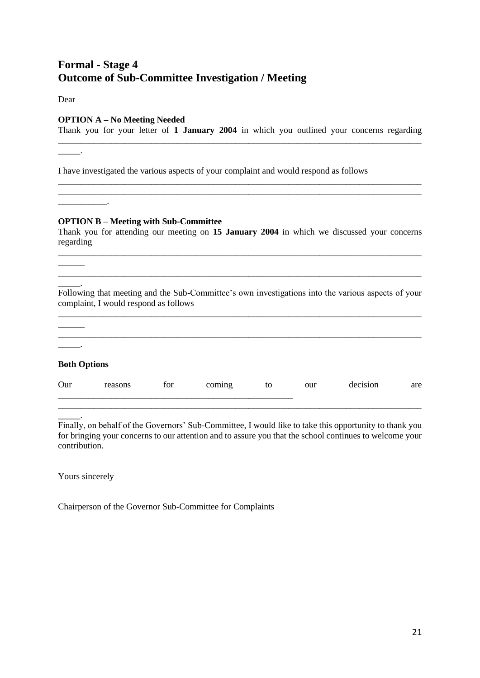# **Formal - Stage 4 Outcome of Sub-Committee Investigation / Meeting**

Dear

\_\_\_\_\_.

 $\overline{\phantom{a}}$ 

 $\frac{1}{2}$ 

#### **OPTION A – No Meeting Needed**

Thank you for your letter of **1 January 2004** in which you outlined your concerns regarding \_\_\_\_\_\_\_\_\_\_\_\_\_\_\_\_\_\_\_\_\_\_\_\_\_\_\_\_\_\_\_\_\_\_\_\_\_\_\_\_\_\_\_\_\_\_\_\_\_\_\_\_\_\_\_\_\_\_\_\_\_\_\_\_\_\_\_\_\_\_\_\_\_\_\_\_\_\_\_\_\_\_

\_\_\_\_\_\_\_\_\_\_\_\_\_\_\_\_\_\_\_\_\_\_\_\_\_\_\_\_\_\_\_\_\_\_\_\_\_\_\_\_\_\_\_\_\_\_\_\_\_\_\_\_\_\_\_\_\_\_\_\_\_\_\_\_\_\_\_\_\_\_\_\_\_\_\_\_\_\_\_\_\_\_ \_\_\_\_\_\_\_\_\_\_\_\_\_\_\_\_\_\_\_\_\_\_\_\_\_\_\_\_\_\_\_\_\_\_\_\_\_\_\_\_\_\_\_\_\_\_\_\_\_\_\_\_\_\_\_\_\_\_\_\_\_\_\_\_\_\_\_\_\_\_\_\_\_\_\_\_\_\_\_\_\_\_

I have investigated the various aspects of your complaint and would respond as follows

#### **OPTION B – Meeting with Sub-Committee**

Thank you for attending our meeting on **15 January 2004** in which we discussed your concerns regarding \_\_\_\_\_\_\_\_\_\_\_\_\_\_\_\_\_\_\_\_\_\_\_\_\_\_\_\_\_\_\_\_\_\_\_\_\_\_\_\_\_\_\_\_\_\_\_\_\_\_\_\_\_\_\_\_\_\_\_\_\_\_\_\_\_\_\_\_\_\_\_\_\_\_\_\_\_\_\_\_\_\_

 $\overline{\phantom{a}}$ . Following that meeting and the Sub-Committee's own investigations into the various aspects of your complaint, I would respond as follows

 $\mathcal{L}_\text{max}$ 

| <b>Both Options</b> |         |     |        |    |     |          |     |
|---------------------|---------|-----|--------|----|-----|----------|-----|
| Our                 | reasons | for | coming | to | our | decision | are |

\_\_\_\_\_. Finally, on behalf of the Governors' Sub-Committee, I would like to take this opportunity to thank you for bringing your concerns to our attention and to assure you that the school continues to welcome your contribution.

\_\_\_\_\_\_\_\_\_\_\_\_\_\_\_\_\_\_\_\_\_\_\_\_\_\_\_\_\_\_\_\_\_\_\_\_\_\_\_\_\_\_\_\_\_\_\_\_\_\_\_\_\_\_\_\_\_\_\_\_\_\_\_\_\_\_\_\_\_\_\_\_\_\_\_\_\_\_\_\_\_\_

Yours sincerely

Chairperson of the Governor Sub-Committee for Complaints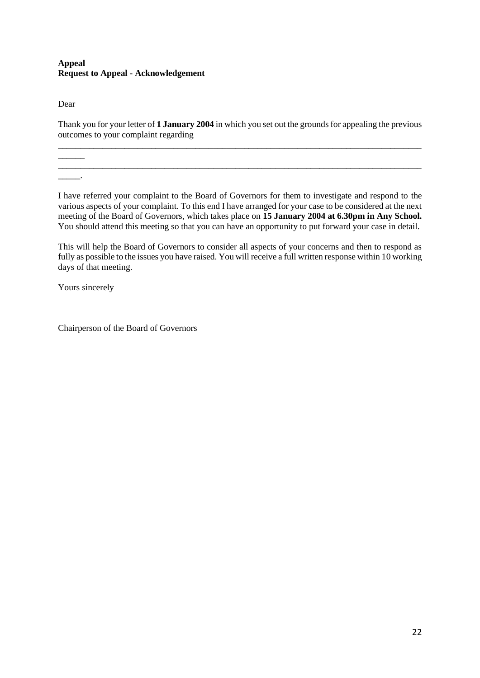#### **Appeal Request to Appeal - Acknowledgement**

Dear

 $\overline{\phantom{a}}$ 

 $\overline{\phantom{a}}$  .

Thank you for your letter of **1 January 2004** in which you set out the grounds for appealing the previous outcomes to your complaint regarding \_\_\_\_\_\_\_\_\_\_\_\_\_\_\_\_\_\_\_\_\_\_\_\_\_\_\_\_\_\_\_\_\_\_\_\_\_\_\_\_\_\_\_\_\_\_\_\_\_\_\_\_\_\_\_\_\_\_\_\_\_\_\_\_\_\_\_\_\_\_\_\_\_\_\_\_\_\_\_\_\_\_

\_\_\_\_\_\_\_\_\_\_\_\_\_\_\_\_\_\_\_\_\_\_\_\_\_\_\_\_\_\_\_\_\_\_\_\_\_\_\_\_\_\_\_\_\_\_\_\_\_\_\_\_\_\_\_\_\_\_\_\_\_\_\_\_\_\_\_\_\_\_\_\_\_\_\_\_\_\_\_\_\_\_

I have referred your complaint to the Board of Governors for them to investigate and respond to the various aspects of your complaint. To this end I have arranged for your case to be considered at the next meeting of the Board of Governors, which takes place on **15 January 2004 at 6.30pm in Any School.** You should attend this meeting so that you can have an opportunity to put forward your case in detail.

This will help the Board of Governors to consider all aspects of your concerns and then to respond as fully as possible to the issues you have raised. You will receive a full written response within 10 working days of that meeting.

Yours sincerely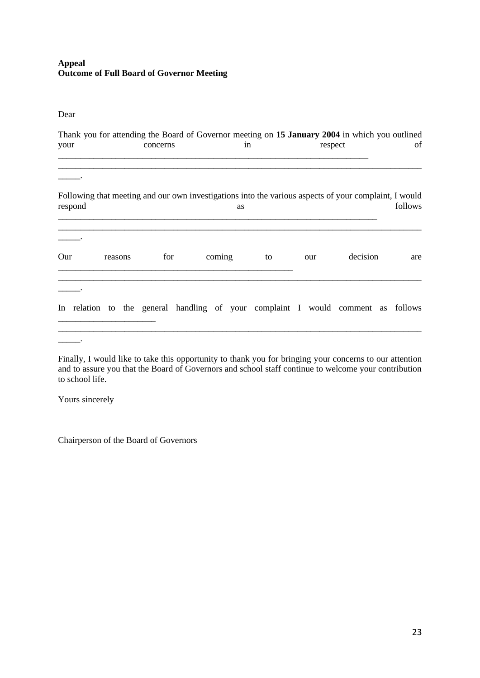#### **Appeal Outcome of Full Board of Governor Meeting**

Dear

| Thank you for attending the Board of Governor meeting on 15 January 2004 in which you outlined<br>your |         | concerns |                                                                                                       | in |    | respect |     |          | of |         |
|--------------------------------------------------------------------------------------------------------|---------|----------|-------------------------------------------------------------------------------------------------------|----|----|---------|-----|----------|----|---------|
| respond                                                                                                |         |          | Following that meeting and our own investigations into the various aspects of your complaint, I would | as |    |         |     |          |    | follows |
| Our                                                                                                    | reasons | for      | coming                                                                                                |    | to |         | our | decision |    | are     |
|                                                                                                        |         |          | In relation to the general handling of your complaint I would comment as follows                      |    |    |         |     |          |    |         |

Finally, I would like to take this opportunity to thank you for bringing your concerns to our attention and to assure you that the Board of Governors and school staff continue to welcome your contribution to school life.

Yours sincerely

\_\_\_\_\_.